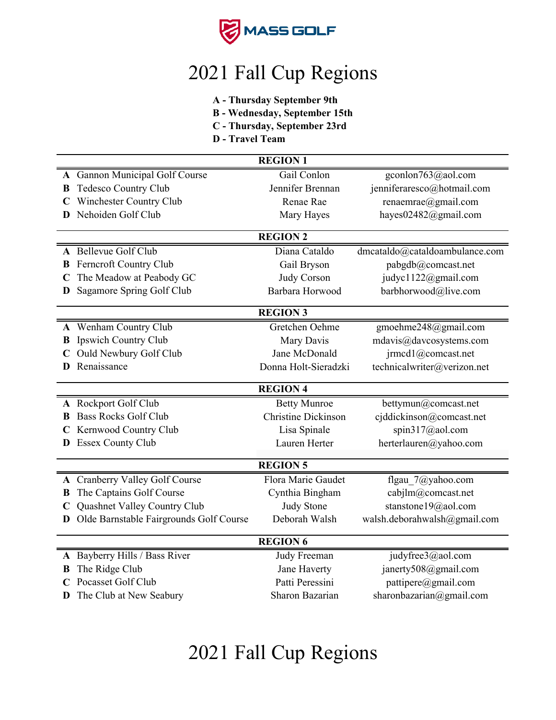

## 2021 Fall Cup Regions

- **A Thursday September 9th**
- **B Wednesday, September 15th**
- **C Thursday, September 23rd**
- **D Travel Team**

| <b>REGION 1</b> |                                         |                                    |                                |  |  |
|-----------------|-----------------------------------------|------------------------------------|--------------------------------|--|--|
|                 | A Gannon Municipal Golf Course          | Gail Conlon                        | gconlon763@aol.com             |  |  |
| B               | <b>Tedesco Country Club</b>             | Jennifer Brennan                   | jenniferaresco@hotmail.com     |  |  |
|                 | Winchester Country Club                 | Renae Rae                          | renaemrae@gmail.com            |  |  |
| D.              | Nehoiden Golf Club                      | Mary Hayes                         | hayes02482@gmail.com           |  |  |
|                 |                                         | <b>REGION 2</b>                    |                                |  |  |
|                 | A Bellevue Golf Club                    | Diana Cataldo                      |                                |  |  |
|                 |                                         |                                    | dmcataldo@cataldoambulance.com |  |  |
|                 | <b>B</b> Ferncroft Country Club         | Gail Bryson                        | pabgdb@comcast.net             |  |  |
| C               | The Meadow at Peabody GC                | Judy Corson                        | judyc1122@gmail.com            |  |  |
| D               | Sagamore Spring Golf Club               | Barbara Horwood                    | barbhorwood@live.com           |  |  |
|                 |                                         | <b>REGION 3</b>                    |                                |  |  |
|                 | A Wenham Country Club                   | Gretchen Oehme                     | gmoehme248@gmail.com           |  |  |
|                 | <b>B</b> Ipswich Country Club           | Mary Davis                         | mdavis@davcosystems.com        |  |  |
|                 | C Ould Newbury Golf Club                | Jane McDonald                      | jrmcd1@comcast.net             |  |  |
| D               | Renaissance                             | Donna Holt-Sieradzki               | technicalwriter@verizon.net    |  |  |
|                 |                                         |                                    |                                |  |  |
|                 | <b>REGION 4</b>                         |                                    |                                |  |  |
|                 |                                         |                                    |                                |  |  |
|                 | A Rockport Golf Club                    | <b>Betty Munroe</b>                | bettymun@comcast.net           |  |  |
| B               | <b>Bass Rocks Golf Club</b>             | <b>Christine Dickinson</b>         | cjddickinson@comcast.net       |  |  |
|                 | Kernwood Country Club                   | Lisa Spinale                       | spin317@aol.com                |  |  |
| D.              | <b>Essex County Club</b>                | Lauren Herter                      | herterlauren@yahoo.com         |  |  |
|                 |                                         | <b>REGION 5</b>                    |                                |  |  |
|                 |                                         | Flora Marie Gaudet                 |                                |  |  |
| В               | A Cranberry Valley Golf Course          |                                    | flgau 7@yahoo.com              |  |  |
| $\mathbf C$     | The Captains Golf Course                | Cynthia Bingham                    | cabjlm@comcast.net             |  |  |
| D               | Quashnet Valley Country Club            | <b>Judy Stone</b><br>Deborah Walsh | stanstone19@aol.com            |  |  |
|                 | Olde Barnstable Fairgrounds Golf Course |                                    | walsh.deborahwalsh@gmail.com   |  |  |
|                 |                                         | <b>REGION 6</b>                    |                                |  |  |
|                 | A Bayberry Hills / Bass River           | Judy Freeman                       | judyfree3@aol.com              |  |  |
| B               | The Ridge Club                          | Jane Haverty                       | janerty508@gmail.com           |  |  |
|                 | Pocasset Golf Club                      | Patti Peressini                    | pattipere@gmail.com            |  |  |
| D               | The Club at New Seabury                 | Sharon Bazarian                    | sharonbazarian@gmail.com       |  |  |

## 2021 Fall Cup Regions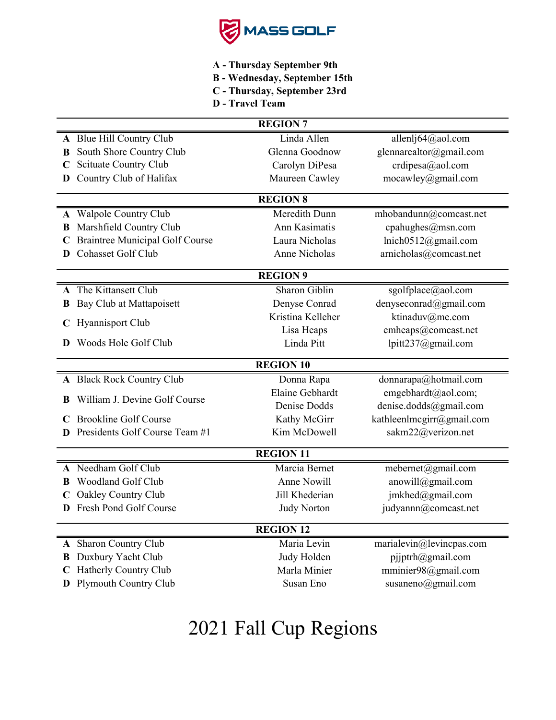

- **A Thursday September 9th**
- **B Wednesday, September 15th**
- **C Thursday, September 23rd**
- **D Travel Team**

| <b>REGION 7</b>  |                                                |                    |                                           |  |
|------------------|------------------------------------------------|--------------------|-------------------------------------------|--|
|                  | A Blue Hill Country Club                       | Linda Allen        | allenlj64@aol.com                         |  |
| B                | South Shore Country Club                       | Glenna Goodnow     | glennarealtor@gmail.com                   |  |
|                  | Scituate Country Club                          | Carolyn DiPesa     | crdipesa@aol.com                          |  |
| D                | Country Club of Halifax                        | Maureen Cawley     | mocawley@gmail.com                        |  |
|                  |                                                | <b>REGION 8</b>    |                                           |  |
|                  | A Walpole Country Club                         | Meredith Dunn      | mhobandunn@comcast.net                    |  |
| В                | Marshfield Country Club                        | Ann Kasimatis      | cpahughes@msn.com                         |  |
|                  | <b>Braintree Municipal Golf Course</b>         | Laura Nicholas     | lnich0512@gmail.com                       |  |
| D                | <b>Cohasset Golf Club</b>                      | Anne Nicholas      | arnicholas@comcast.net                    |  |
|                  |                                                | <b>REGION 9</b>    |                                           |  |
| A                | The Kittansett Club                            | Sharon Giblin      | sgolfplace@aol.com                        |  |
| В                | Bay Club at Mattapoisett                       | Denyse Conrad      | denyseconrad@gmail.com                    |  |
|                  | Hyannisport Club                               | Kristina Kelleher  | ktinaduv@me.com                           |  |
|                  |                                                | Lisa Heaps         | emheaps@comcast.net                       |  |
| D                | Woods Hole Golf Club                           | Linda Pitt         | lpitt237@gmail.com                        |  |
| <b>REGION 10</b> |                                                |                    |                                           |  |
|                  |                                                |                    |                                           |  |
|                  | A Black Rock Country Club                      | Donna Rapa         | donnarapa@hotmail.com                     |  |
|                  |                                                | Elaine Gebhardt    | emgebhardt@aol.com;                       |  |
| B                | William J. Devine Golf Course                  | Denise Dodds       | denise.dodds@gmail.com                    |  |
|                  | <b>Brookline Golf Course</b>                   | Kathy McGirr       | kathleenlmcgirr@gmail.com                 |  |
|                  | Presidents Golf Course Team #1                 | Kim McDowell       | sakm22@verizon.net                        |  |
|                  |                                                | <b>REGION 11</b>   |                                           |  |
|                  | A Needham Golf Club                            | Marcia Bernet      | mebernet@gmail.com                        |  |
|                  | Woodland Golf Club                             | Anne Nowill        | anowill@gmail.com                         |  |
|                  | Oakley Country Club                            | Jill Khederian     | jmkhed@gmail.com                          |  |
|                  | Fresh Pond Golf Course                         | <b>Judy Norton</b> | judyannn@comcast.net                      |  |
|                  |                                                | <b>REGION 12</b>   |                                           |  |
|                  | A Sharon Country Club                          | Maria Levin        | marialevin@levincpas.com                  |  |
| B                | Duxbury Yacht Club                             | Judy Holden        | pjjptrh@gmail.com                         |  |
| C                | Hatherly Country Club<br>Plymouth Country Club | Marla Minier       | mminier98@gmail.com<br>susaneno@gmail.com |  |

# 2021 Fall Cup Regions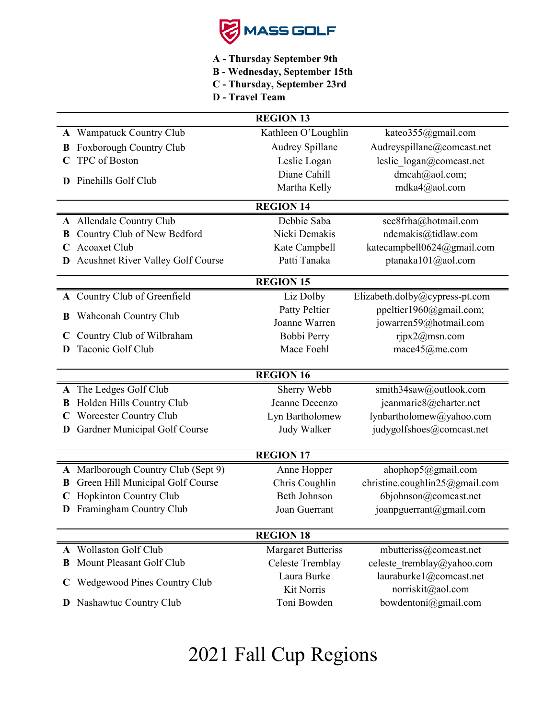

- **A Thursday September 9th**
- **B Wednesday, September 15th**
- **C Thursday, September 23rd**
- **D Travel Team**

|   |                                     | <b>REGION 13</b>          |                                |
|---|-------------------------------------|---------------------------|--------------------------------|
|   | A Wampatuck Country Club            | Kathleen O'Loughlin       | kateo355@gmail.com             |
| B | Foxborough Country Club             | Audrey Spillane           | Audreyspillane@comcast.net     |
|   | TPC of Boston                       | Leslie Logan              | leslie logan@comcast.net       |
| D | Pinehills Golf Club                 | Diane Cahill              | dmcah@aol.com;                 |
|   |                                     | Martha Kelly              | mdka4@aol.com                  |
|   |                                     | <b>REGION 14</b>          |                                |
|   | A Allendale Country Club            | Debbie Saba               | sec8frha@hotmail.com           |
| В | Country Club of New Bedford         | Nicki Demakis             | ndemakis@tidlaw.com            |
|   | Acoaxet Club                        | Kate Campbell             | katecampbell0624@gmail.com     |
|   | Acushnet River Valley Golf Course   | Patti Tanaka              | ptanaka101@aol.com             |
|   |                                     | <b>REGION 15</b>          |                                |
|   | A Country Club of Greenfield        | Liz Dolby                 | Elizabeth.dolby@cypress-pt.com |
|   |                                     | Patty Peltier             | ppeltier1960@gmail.com;        |
| В | Wahconah Country Club               | Joanne Warren             | jowarren59@hotmail.com         |
|   | Country Club of Wilbraham           | Bobbi Perry               | ripx2@msn.com                  |
| D | Taconic Golf Club                   | Mace Foehl                | mace45@me.com                  |
|   |                                     |                           |                                |
|   |                                     | <b>REGION 16</b>          |                                |
| A | The Ledges Golf Club                | Sherry Webb               | smith34saw@outlook.com         |
| В | Holden Hills Country Club           | Jeanne Decenzo            | jeanmarie8@charter.net         |
|   | Worcester Country Club              | Lyn Bartholomew           | lynbartholomew@yahoo.com       |
| D | Gardner Municipal Golf Course       | Judy Walker               | judygolfshoes@comcast.net      |
|   |                                     | <b>REGION 17</b>          |                                |
|   | A Marlborough Country Club (Sept 9) | Anne Hopper               | ahophop5@gmail.com             |
| B | Green Hill Municipal Golf Course    | Chris Coughlin            | christine.coughlin25@gmail.com |
|   | <b>Hopkinton Country Club</b>       | Beth Johnson              | 6bjohnson@comcast.net          |
|   | D Framingham Country Club           | Joan Guerrant             | joanpguerrant@gmail.com        |
|   |                                     |                           |                                |
|   |                                     | <b>REGION 18</b>          |                                |
|   | A Wollaston Golf Club               | <b>Margaret Butteriss</b> | mbutteriss@comcast.net         |
| В | Mount Pleasant Golf Club            | Celeste Tremblay          | celeste tremblay@yahoo.com     |
| C | <b>Wedgewood Pines Country Club</b> | Laura Burke               | lauraburke1@comcast.net        |
|   |                                     | Kit Norris                | norriskit@aol.com              |
| D | Nashawtuc Country Club              | Toni Bowden               | bowdentoni@gmail.com           |
|   |                                     |                           |                                |

## 2021 Fall Cup Regions